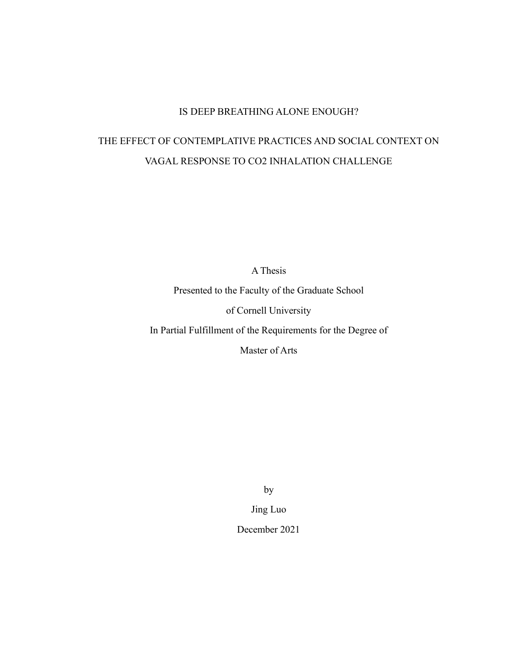# IS DEEP BREATHING ALONE ENOUGH?

# THE EFFECT OF CONTEMPLATIVE PRACTICES AND SOCIAL CONTEXT ON VAGAL RESPONSE TO CO2 INHALATION CHALLENGE

A Thesis

Presented to the Faculty of the Graduate School

of Cornell University

In Partial Fulfillment of the Requirements for the Degree of

Master of Arts

by

Jing Luo

December 2021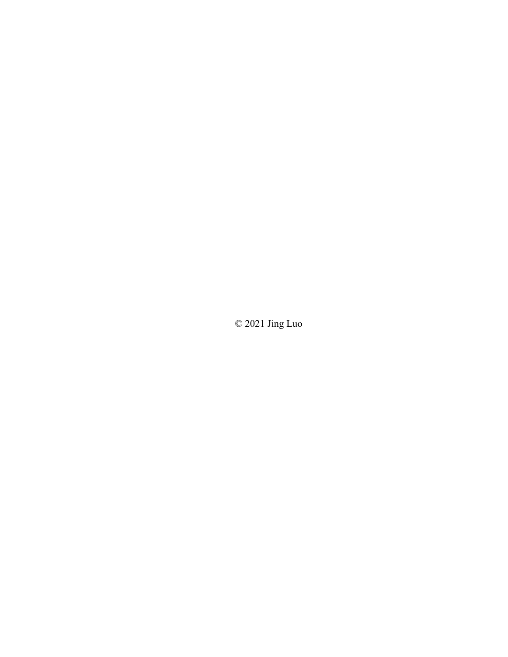© 2021 Jing Luo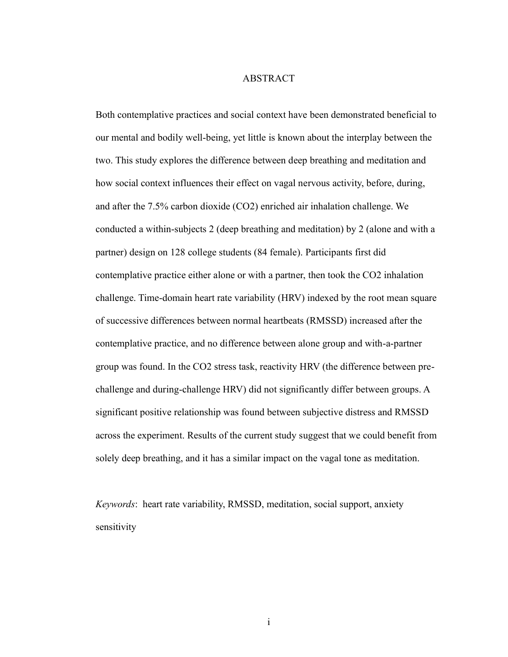# ABSTRACT

Both contemplative practices and social context have been demonstrated beneficial to our mental and bodily well-being, yet little is known about the interplay between the two. This study explores the difference between deep breathing and meditation and how social context influences their effect on vagal nervous activity, before, during, and after the 7.5% carbon dioxide (CO2) enriched air inhalation challenge. We conducted a within-subjects 2 (deep breathing and meditation) by 2 (alone and with a partner) design on 128 college students (84 female). Participants first did contemplative practice either alone or with a partner, then took the CO2 inhalation challenge. Time-domain heart rate variability (HRV) indexed by the root mean square of successive differences between normal heartbeats (RMSSD) increased after the contemplative practice, and no difference between alone group and with-a-partner group was found. In the CO2 stress task, reactivity HRV (the difference between prechallenge and during-challenge HRV) did not significantly differ between groups. A significant positive relationship was found between subjective distress and RMSSD across the experiment. Results of the current study suggest that we could benefit from solely deep breathing, and it has a similar impact on the vagal tone as meditation.

*Keywords*: heart rate variability, RMSSD, meditation, social support, anxiety sensitivity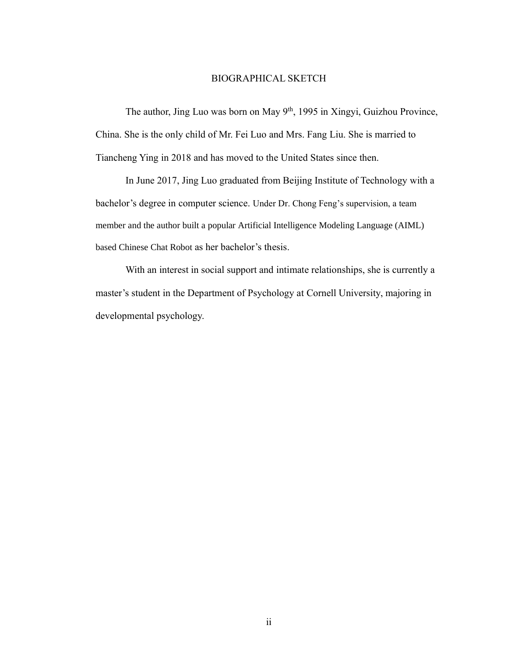# BIOGRAPHICAL SKETCH

The author, Jing Luo was born on May 9<sup>th</sup>, 1995 in Xingyi, Guizhou Province, China. She is the only child of Mr. Fei Luo and Mrs. Fang Liu. She is married to Tiancheng Ying in 2018 and has moved to the United States since then.

In June 2017, Jing Luo graduated from Beijing Institute of Technology with a bachelor's degree in computer science. Under Dr. Chong Feng's supervision, a team member and the author built a popular Artificial Intelligence Modeling Language (AIML) based Chinese Chat Robot as her bachelor's thesis.

With an interest in social support and intimate relationships, she is currently a master's student in the Department of Psychology at Cornell University, majoring in developmental psychology.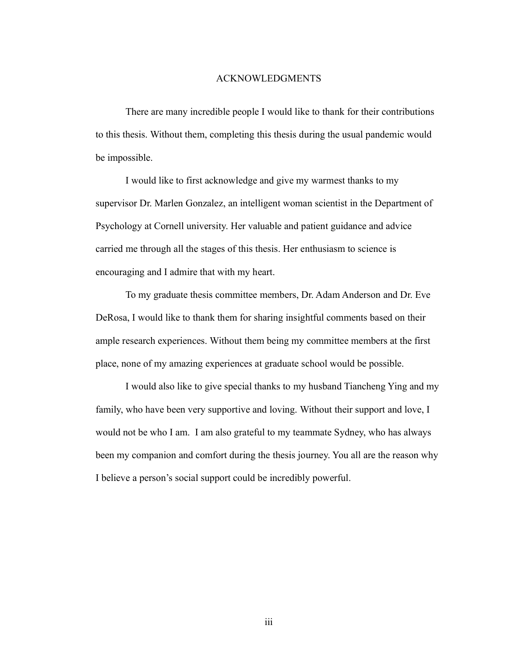# ACKNOWLEDGMENTS

There are many incredible people I would like to thank for their contributions to this thesis. Without them, completing this thesis during the usual pandemic would be impossible.

I would like to first acknowledge and give my warmest thanks to my supervisor Dr. Marlen Gonzalez, an intelligent woman scientist in the Department of Psychology at Cornell university. Her valuable and patient guidance and advice carried me through all the stages of this thesis. Her enthusiasm to science is encouraging and I admire that with my heart.

To my graduate thesis committee members, Dr. Adam Anderson and Dr. Eve DeRosa, I would like to thank them for sharing insightful comments based on their ample research experiences. Without them being my committee members at the first place, none of my amazing experiences at graduate school would be possible.

I would also like to give special thanks to my husband Tiancheng Ying and my family, who have been very supportive and loving. Without their support and love, I would not be who I am. I am also grateful to my teammate Sydney, who has always been my companion and comfort during the thesis journey. You all are the reason why I believe a person's social support could be incredibly powerful.

iii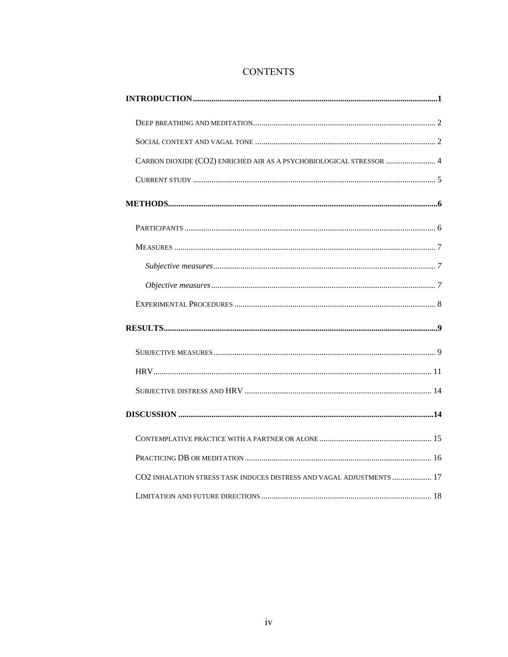# **CONTENTS**

| CARBON DIOXIDE (CO2) ENRICHED AIR AS A PSYCHOBIOLOGICAL STRESSOR  4   |
|-----------------------------------------------------------------------|
|                                                                       |
|                                                                       |
|                                                                       |
|                                                                       |
|                                                                       |
|                                                                       |
|                                                                       |
|                                                                       |
|                                                                       |
|                                                                       |
|                                                                       |
|                                                                       |
|                                                                       |
|                                                                       |
| CO2 INHALATION STRESS TASK INDUCES DISTRESS AND VAGAL ADJUSTMENTS  17 |
|                                                                       |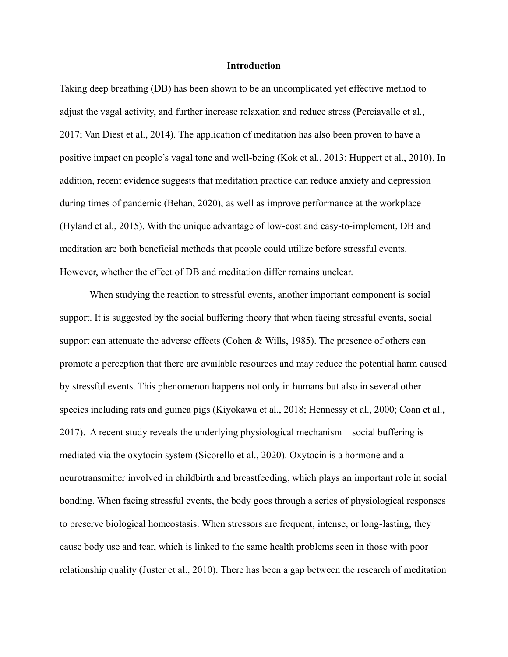#### **Introduction**

<span id="page-6-0"></span>Taking deep breathing (DB) has been shown to be an uncomplicated yet effective method to adjust the vagal activity, and further increase relaxation and reduce stress (Perciavalle et al., 2017; Van Diest et al., 2014). The application of meditation has also been proven to have a positive impact on people's vagal tone and well-being (Kok et al., 2013; Huppert et al., 2010). In addition, recent evidence suggests that meditation practice can reduce anxiety and depression during times of pandemic (Behan, 2020), as well as improve performance at the workplace (Hyland et al., 2015). With the unique advantage of low-cost and easy-to-implement, DB and meditation are both beneficial methods that people could utilize before stressful events. However, whether the effect of DB and meditation differ remains unclear.

When studying the reaction to stressful events, another important component is social support. It is suggested by the social buffering theory that when facing stressful events, social support can attenuate the adverse effects (Cohen & Wills, 1985). The presence of others can promote a perception that there are available resources and may reduce the potential harm caused by stressful events. This phenomenon happens not only in humans but also in several other species including rats and guinea pigs (Kiyokawa et al., 2018; Hennessy et al., 2000; Coan et al., 2017). A recent study reveals the underlying physiological mechanism – social buffering is mediated via the oxytocin system (Sicorello et al., 2020). Oxytocin is a hormone and a neurotransmitter involved in childbirth and breastfeeding, which plays an important role in social bonding. When facing stressful events, the body goes through a series of physiological responses to preserve biological homeostasis. When stressors are frequent, intense, or long-lasting, they cause body use and tear, which is linked to the same health problems seen in those with poor relationship quality (Juster et al., 2010). There has been a gap between the research of meditation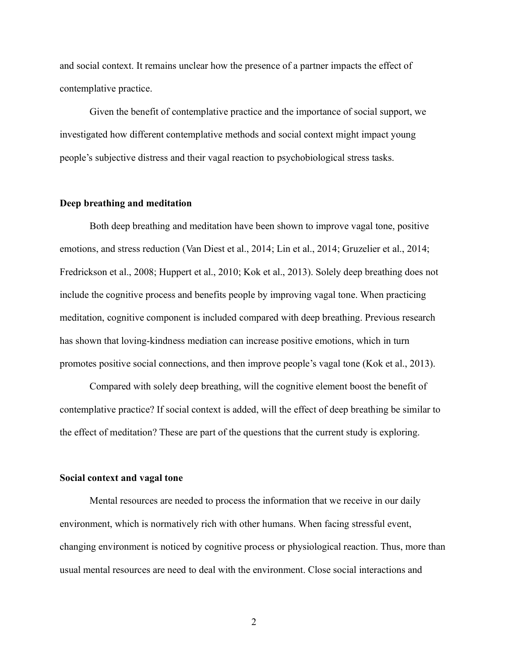and social context. It remains unclear how the presence of a partner impacts the effect of contemplative practice.

Given the benefit of contemplative practice and the importance of social support, we investigated how different contemplative methods and social context might impact young people's subjective distress and their vagal reaction to psychobiological stress tasks.

# <span id="page-7-0"></span>**Deep breathing and meditation**

Both deep breathing and meditation have been shown to improve vagal tone, positive emotions, and stress reduction (Van Diest et al., 2014; Lin et al., 2014; Gruzelier et al., 2014; Fredrickson et al., 2008; Huppert et al., 2010; Kok et al., 2013). Solely deep breathing does not include the cognitive process and benefits people by improving vagal tone. When practicing meditation, cognitive component is included compared with deep breathing. Previous research has shown that loving-kindness mediation can increase positive emotions, which in turn promotes positive social connections, and then improve people's vagal tone (Kok et al., 2013).

Compared with solely deep breathing, will the cognitive element boost the benefit of contemplative practice? If social context is added, will the effect of deep breathing be similar to the effect of meditation? These are part of the questions that the current study is exploring.

# <span id="page-7-1"></span>**Social context and vagal tone**

Mental resources are needed to process the information that we receive in our daily environment, which is normatively rich with other humans. When facing stressful event, changing environment is noticed by cognitive process or physiological reaction. Thus, more than usual mental resources are need to deal with the environment. Close social interactions and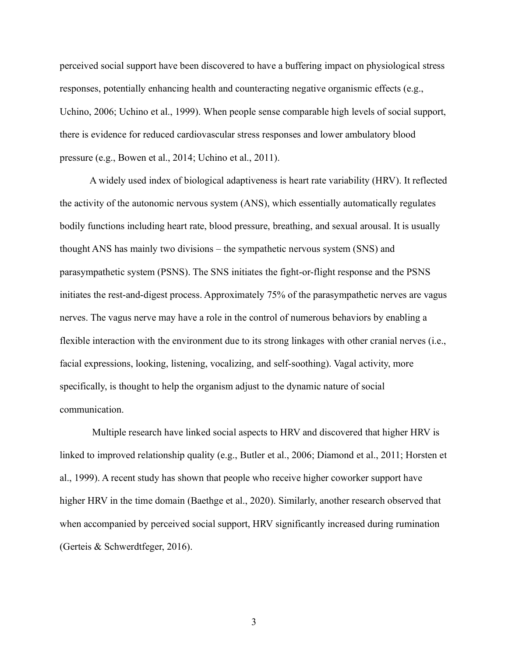perceived social support have been discovered to have a buffering impact on physiological stress responses, potentially enhancing health and counteracting negative organismic effects (e.g., Uchino, 2006; Uchino et al., 1999). When people sense comparable high levels of social support, there is evidence for reduced cardiovascular stress responses and lower ambulatory blood pressure (e.g., Bowen et al., 2014; Uchino et al., 2011).

A widely used index of biological adaptiveness is heart rate variability (HRV). It reflected the activity of the autonomic nervous system (ANS), which essentially automatically regulates bodily functions including heart rate, blood pressure, breathing, and sexual arousal. It is usually thought ANS has mainly two divisions – the sympathetic nervous system (SNS) and parasympathetic system (PSNS). The SNS initiates the fight-or-flight response and the PSNS initiates the rest-and-digest process. Approximately 75% of the parasympathetic nerves are vagus nerves. The vagus nerve may have a role in the control of numerous behaviors by enabling a flexible interaction with the environment due to its strong linkages with other cranial nerves (i.e., facial expressions, looking, listening, vocalizing, and self-soothing). Vagal activity, more specifically, is thought to help the organism adjust to the dynamic nature of social communication.

Multiple research have linked social aspects to HRV and discovered that higher HRV is linked to improved relationship quality (e.g., Butler et al., 2006; Diamond et al., 2011; Horsten et al., 1999). A recent study has shown that people who receive higher coworker support have higher HRV in the time domain (Baethge et al., 2020). Similarly, another research observed that when accompanied by perceived social support, HRV significantly increased during rumination (Gerteis & Schwerdtfeger, 2016).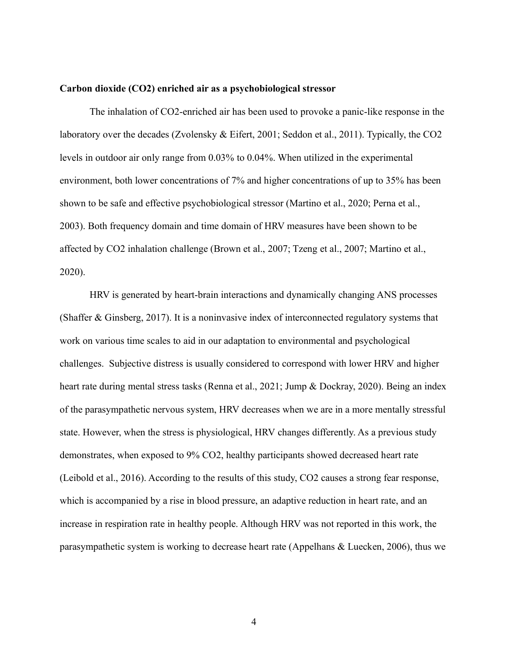#### <span id="page-9-0"></span>**Carbon dioxide (CO2) enriched air as a psychobiological stressor**

The inhalation of CO2-enriched air has been used to provoke a panic-like response in the laboratory over the decades (Zvolensky & Eifert, 2001; Seddon et al., 2011). Typically, the CO2 levels in outdoor air only range from 0.03% to 0.04%. When utilized in the experimental environment, both lower concentrations of 7% and higher concentrations of up to 35% has been shown to be safe and effective psychobiological stressor (Martino et al., 2020; Perna et al., 2003). Both frequency domain and time domain of HRV measures have been shown to be affected by CO2 inhalation challenge (Brown et al., 2007; Tzeng et al., 2007; Martino et al., 2020).

HRV is generated by heart-brain interactions and dynamically changing ANS processes (Shaffer & Ginsberg, 2017). It is a noninvasive index of interconnected regulatory systems that work on various time scales to aid in our adaptation to environmental and psychological challenges. Subjective distress is usually considered to correspond with lower HRV and higher heart rate during mental stress tasks (Renna et al., 2021; Jump & Dockray, 2020). Being an index of the parasympathetic nervous system, HRV decreases when we are in a more mentally stressful state. However, when the stress is physiological, HRV changes differently. As a previous study demonstrates, when exposed to 9% CO2, healthy participants showed decreased heart rate (Leibold et al., 2016). According to the results of this study, CO2 causes a strong fear response, which is accompanied by a rise in blood pressure, an adaptive reduction in heart rate, and an increase in respiration rate in healthy people. Although HRV was not reported in this work, the parasympathetic system is working to decrease heart rate (Appelhans & Luecken, 2006), thus we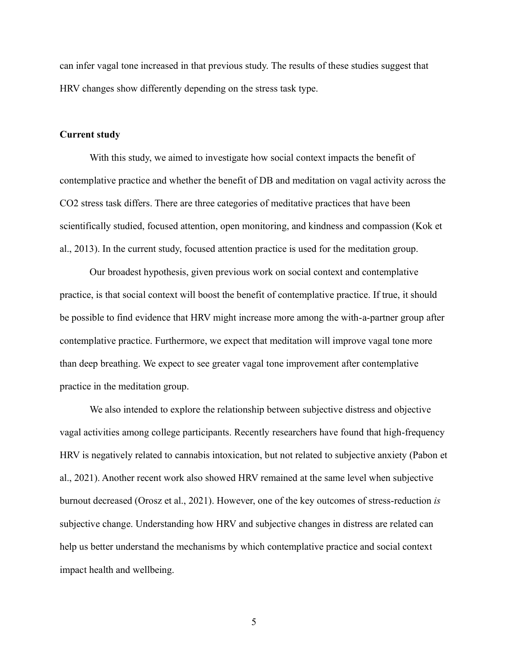can infer vagal tone increased in that previous study. The results of these studies suggest that HRV changes show differently depending on the stress task type.

### <span id="page-10-0"></span>**Current study**

With this study, we aimed to investigate how social context impacts the benefit of contemplative practice and whether the benefit of DB and meditation on vagal activity across the CO2 stress task differs. There are three categories of meditative practices that have been scientifically studied, focused attention, open monitoring, and kindness and compassion (Kok et al., 2013). In the current study, focused attention practice is used for the meditation group.

Our broadest hypothesis, given previous work on social context and contemplative practice, is that social context will boost the benefit of contemplative practice. If true, it should be possible to find evidence that HRV might increase more among the with-a-partner group after contemplative practice. Furthermore, we expect that meditation will improve vagal tone more than deep breathing. We expect to see greater vagal tone improvement after contemplative practice in the meditation group.

We also intended to explore the relationship between subjective distress and objective vagal activities among college participants. Recently researchers have found that high-frequency HRV is negatively related to cannabis intoxication, but not related to subjective anxiety (Pabon et al., 2021). Another recent work also showed HRV remained at the same level when subjective burnout decreased (Orosz et al., 2021). However, one of the key outcomes of stress-reduction *is* subjective change. Understanding how HRV and subjective changes in distress are related can help us better understand the mechanisms by which contemplative practice and social context impact health and wellbeing.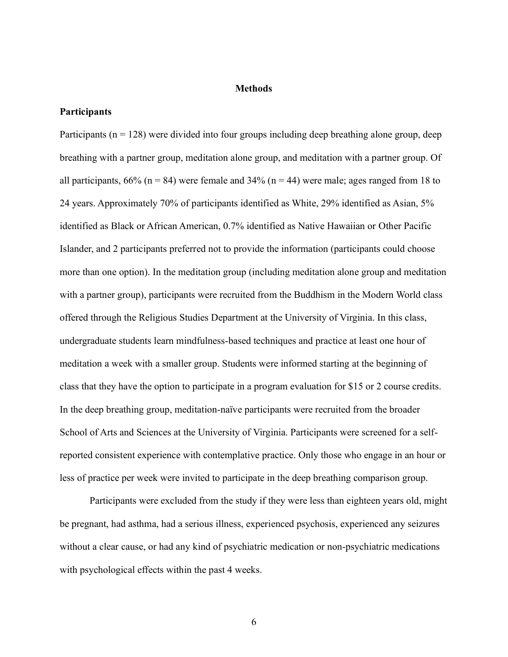#### **Methods**

## <span id="page-11-1"></span><span id="page-11-0"></span>**Participants**

Participants ( $n = 128$ ) were divided into four groups including deep breathing alone group, deep breathing with a partner group, meditation alone group, and meditation with a partner group. Of all participants,  $66\%$  (n = 84) were female and  $34\%$  (n = 44) were male; ages ranged from 18 to 24 years. Approximately 70% of participants identified as White, 29% identified as Asian, 5% identified as Black or African American, 0.7% identified as Native Hawaiian or Other Pacific Islander, and 2 participants preferred not to provide the information (participants could choose more than one option). In the meditation group (including meditation alone group and meditation with a partner group), participants were recruited from the Buddhism in the Modern World class offered through the Religious Studies Department at the University of Virginia. In this class, undergraduate students learn mindfulness-based techniques and practice at least one hour of meditation a week with a smaller group. Students were informed starting at the beginning of class that they have the option to participate in a program evaluation for \$15 or 2 course credits. In the deep breathing group, meditation-naïve participants were recruited from the broader School of Arts and Sciences at the University of Virginia. Participants were screened for a selfreported consistent experience with contemplative practice. Only those who engage in an hour or less of practice per week were invited to participate in the deep breathing comparison group.

Participants were excluded from the study if they were less than eighteen years old, might be pregnant, had asthma, had a serious illness, experienced psychosis, experienced any seizures without a clear cause, or had any kind of psychiatric medication or non-psychiatric medications with psychological effects within the past 4 weeks.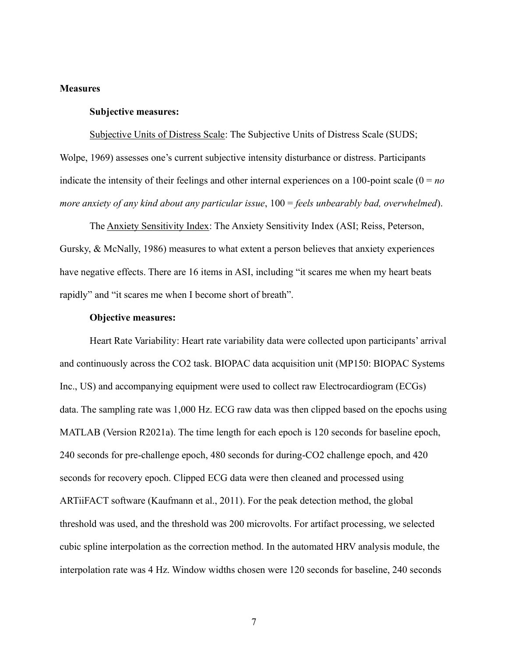### <span id="page-12-1"></span><span id="page-12-0"></span>**Measures**

### **Subjective measures:**

Subjective Units of Distress Scale: The Subjective Units of Distress Scale (SUDS; Wolpe, 1969) assesses one's current subjective intensity disturbance or distress. Participants indicate the intensity of their feelings and other internal experiences on a 100-point scale  $(0 = no$ *more anxiety of any kind about any particular issue*, 100 = *feels unbearably bad, overwhelmed*).

The Anxiety Sensitivity Index: The Anxiety Sensitivity Index (ASI; Reiss, Peterson, Gursky, & McNally, 1986) measures to what extent a person believes that anxiety experiences have negative effects. There are 16 items in ASI, including "it scares me when my heart beats rapidly" and "it scares me when I become short of breath".

#### **Objective measures:**

<span id="page-12-2"></span>Heart Rate Variability: Heart rate variability data were collected upon participants' arrival and continuously across the CO2 task. BIOPAC data acquisition unit (MP150: BIOPAC Systems Inc., US) and accompanying equipment were used to collect raw Electrocardiogram (ECGs) data. The sampling rate was 1,000 Hz. ECG raw data was then clipped based on the epochs using MATLAB (Version R2021a). The time length for each epoch is 120 seconds for baseline epoch, 240 seconds for pre-challenge epoch, 480 seconds for during-CO2 challenge epoch, and 420 seconds for recovery epoch. Clipped ECG data were then cleaned and processed using ARTiiFACT software (Kaufmann et al., 2011). For the peak detection method, the global threshold was used, and the threshold was 200 microvolts. For artifact processing, we selected cubic spline interpolation as the correction method. In the automated HRV analysis module, the interpolation rate was 4 Hz. Window widths chosen were 120 seconds for baseline, 240 seconds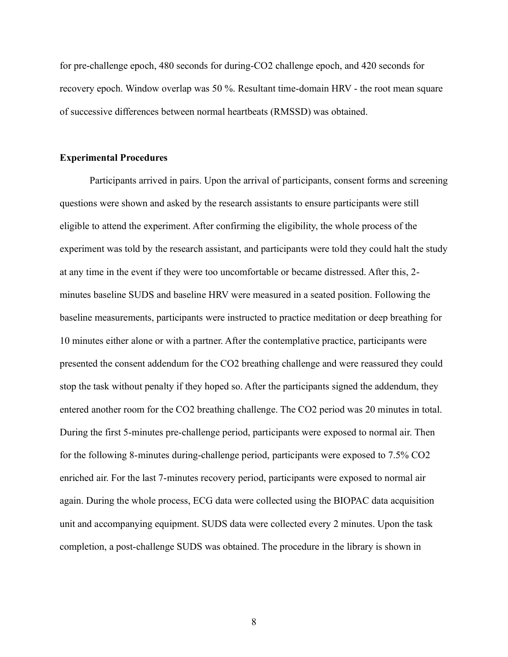for pre-challenge epoch, 480 seconds for during-CO2 challenge epoch, and 420 seconds for recovery epoch. Window overlap was 50 %. Resultant time-domain HRV - the root mean square of successive differences between normal heartbeats (RMSSD) was obtained.

#### <span id="page-13-0"></span>**Experimental Procedures**

Participants arrived in pairs. Upon the arrival of participants, consent forms and screening questions were shown and asked by the research assistants to ensure participants were still eligible to attend the experiment. After confirming the eligibility, the whole process of the experiment was told by the research assistant, and participants were told they could halt the study at any time in the event if they were too uncomfortable or became distressed. After this, 2 minutes baseline SUDS and baseline HRV were measured in a seated position. Following the baseline measurements, participants were instructed to practice meditation or deep breathing for 10 minutes either alone or with a partner. After the contemplative practice, participants were presented the consent addendum for the CO2 breathing challenge and were reassured they could stop the task without penalty if they hoped so. After the participants signed the addendum, they entered another room for the CO2 breathing challenge. The CO2 period was 20 minutes in total. During the first 5-minutes pre-challenge period, participants were exposed to normal air. Then for the following 8-minutes during-challenge period, participants were exposed to 7.5% CO2 enriched air. For the last 7-minutes recovery period, participants were exposed to normal air again. During the whole process, ECG data were collected using the BIOPAC data acquisition unit and accompanying equipment. SUDS data were collected every 2 minutes. Upon the task completion, a post-challenge SUDS was obtained. The procedure in the library is shown in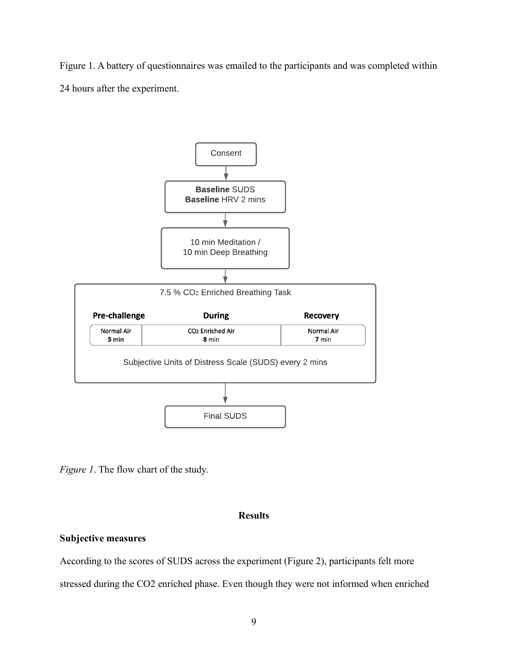Figure 1. A battery of questionnaires was emailed to the participants and was completed within 24 hours after the experiment.



*Figure 1*. The flow chart of the study.

# **Results**

# <span id="page-14-1"></span><span id="page-14-0"></span>**Subjective measures**

According to the scores of SUDS across the experiment (Figure 2), participants felt more stressed during the CO2 enriched phase. Even though they were not informed when enriched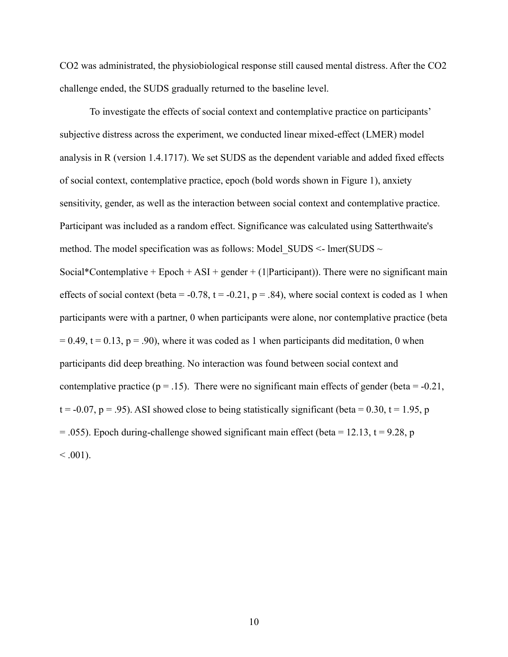CO2 was administrated, the physiobiological response still caused mental distress. After the CO2 challenge ended, the SUDS gradually returned to the baseline level.

To investigate the effects of social context and contemplative practice on participants' subjective distress across the experiment, we conducted linear mixed-effect (LMER) model analysis in R (version 1.4.1717). We set SUDS as the dependent variable and added fixed effects of social context, contemplative practice, epoch (bold words shown in Figure 1), anxiety sensitivity, gender, as well as the interaction between social context and contemplative practice. Participant was included as a random effect. Significance was calculated using Satterthwaite's method. The model specification was as follows: Model SUDS  $\sim$  lmer(SUDS  $\sim$ Social\*Contemplative + Epoch + ASI + gender + (1|Participant)). There were no significant main effects of social context (beta =  $-0.78$ , t =  $-0.21$ , p = .84), where social context is coded as 1 when participants were with a partner, 0 when participants were alone, nor contemplative practice (beta  $= 0.49$ , t = 0.13, p = .90), where it was coded as 1 when participants did meditation, 0 when participants did deep breathing. No interaction was found between social context and contemplative practice ( $p = .15$ ). There were no significant main effects of gender (beta = -0.21,  $t = -0.07$ ,  $p = .95$ ). ASI showed close to being statistically significant (beta = 0.30,  $t = 1.95$ , p  $= .055$ ). Epoch during-challenge showed significant main effect (beta = 12.13, t = 9.28, p  $< .001$ ).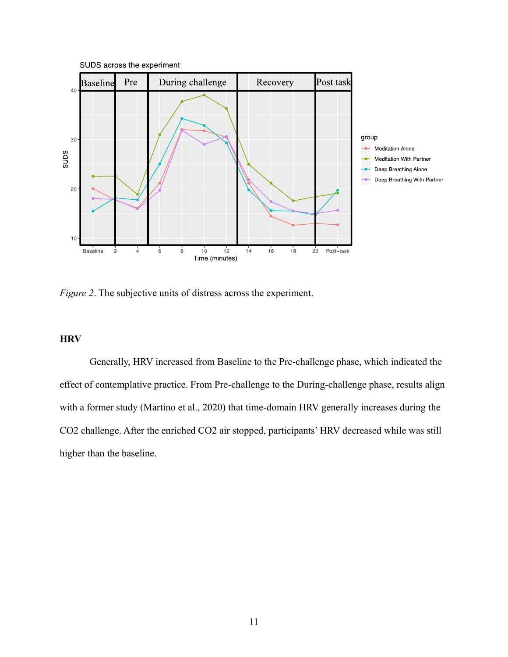

*Figure 2*. The subjective units of distress across the experiment.

# <span id="page-16-0"></span>**HRV**

Generally, HRV increased from Baseline to the Pre-challenge phase, which indicated the effect of contemplative practice. From Pre-challenge to the During-challenge phase, results align with a former study (Martino et al., 2020) that time-domain HRV generally increases during the CO2 challenge. After the enriched CO2 air stopped, participants' HRV decreased while was still higher than the baseline.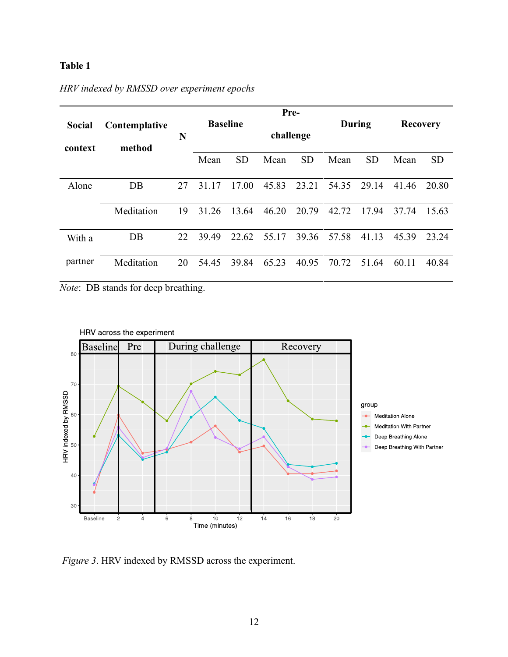# **Table 1**

|         |                         |    | Pre-            |           |           |           |               |           |                 |           |
|---------|-------------------------|----|-----------------|-----------|-----------|-----------|---------------|-----------|-----------------|-----------|
| Social  | Contemplative<br>method | N  | <b>Baseline</b> |           | challenge |           | <b>During</b> |           | <b>Recovery</b> |           |
| context |                         |    | Mean            | <b>SD</b> | Mean      | <b>SD</b> | Mean          | <b>SD</b> | Mean            | <b>SD</b> |
| Alone   | DB                      | 27 | 31.17           | 17.00     | 45.83     | 23.21     | 54.35         | 29.14     | 41.46           | 20.80     |
|         | Meditation              | 19 | 31.26           | 13.64     | 46.20     | 20.79     | 42.72         | 17.94     | 37.74           | 15.63     |
| With a  | $DB$                    | 22 | 39.49           | 22.62     | 55.17     | 39.36     | 57.58         | 41.13     | 45.39           | 23.24     |
| partner | Meditation              | 20 | 54.45           | 39.84     | 65.23     | 40.95     | 70.72         | 51.64     | 60.11           | 40.84     |

# *HRV indexed by RMSSD over experiment epochs*

*Note*: DB stands for deep breathing.



*Figure 3*. HRV indexed by RMSSD across the experiment.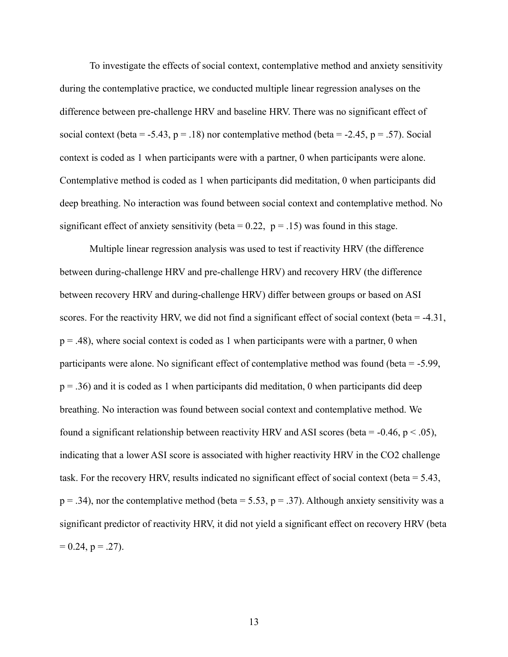To investigate the effects of social context, contemplative method and anxiety sensitivity during the contemplative practice, we conducted multiple linear regression analyses on the difference between pre-challenge HRV and baseline HRV. There was no significant effect of social context (beta = -5.43,  $p = .18$ ) nor contemplative method (beta = -2.45,  $p = .57$ ). Social context is coded as 1 when participants were with a partner, 0 when participants were alone. Contemplative method is coded as 1 when participants did meditation, 0 when participants did deep breathing. No interaction was found between social context and contemplative method. No significant effect of anxiety sensitivity (beta =  $0.22$ , p =  $.15$ ) was found in this stage.

Multiple linear regression analysis was used to test if reactivity HRV (the difference between during-challenge HRV and pre-challenge HRV) and recovery HRV (the difference between recovery HRV and during-challenge HRV) differ between groups or based on ASI scores. For the reactivity HRV, we did not find a significant effect of social context (beta = -4.31,  $p = .48$ ), where social context is coded as 1 when participants were with a partner, 0 when participants were alone. No significant effect of contemplative method was found (beta = -5.99,  $p = .36$ ) and it is coded as 1 when participants did meditation, 0 when participants did deep breathing. No interaction was found between social context and contemplative method. We found a significant relationship between reactivity HRV and ASI scores (beta =  $-0.46$ , p < .05), indicating that a lower ASI score is associated with higher reactivity HRV in the CO2 challenge task. For the recovery HRV, results indicated no significant effect of social context (beta = 5.43,  $p = .34$ ), nor the contemplative method (beta = 5.53,  $p = .37$ ). Although anxiety sensitivity was a significant predictor of reactivity HRV, it did not yield a significant effect on recovery HRV (beta  $= 0.24$ , p = .27).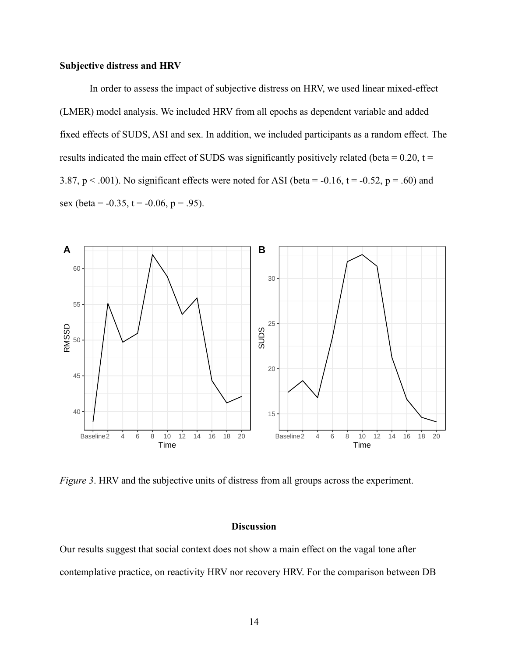# <span id="page-19-0"></span>**Subjective distress and HRV**

In order to assess the impact of subjective distress on HRV, we used linear mixed-effect (LMER) model analysis. We included HRV from all epochs as dependent variable and added fixed effects of SUDS, ASI and sex. In addition, we included participants as a random effect. The results indicated the main effect of SUDS was significantly positively related (beta =  $0.20$ , t = 3.87,  $p < .001$ ). No significant effects were noted for ASI (beta = -0.16, t = -0.52,  $p = .60$ ) and sex (beta =  $-0.35$ , t =  $-0.06$ , p = .95).



*Figure 3*. HRV and the subjective units of distress from all groups across the experiment.

# **Discussion**

<span id="page-19-1"></span>Our results suggest that social context does not show a main effect on the vagal tone after contemplative practice, on reactivity HRV nor recovery HRV. For the comparison between DB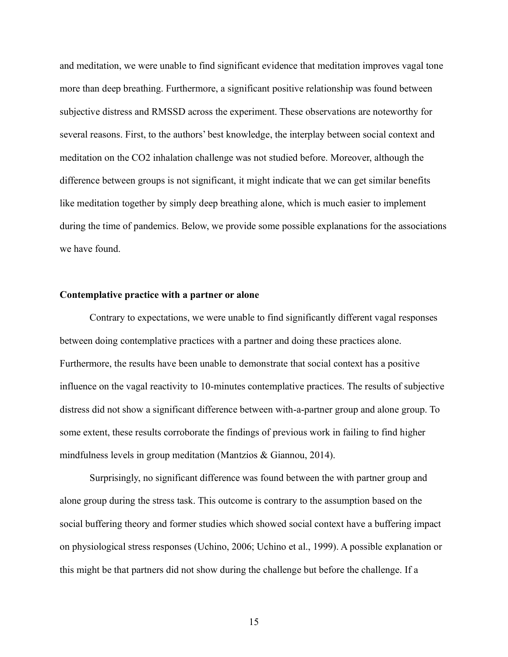and meditation, we were unable to find significant evidence that meditation improves vagal tone more than deep breathing. Furthermore, a significant positive relationship was found between subjective distress and RMSSD across the experiment. These observations are noteworthy for several reasons. First, to the authors' best knowledge, the interplay between social context and meditation on the CO2 inhalation challenge was not studied before. Moreover, although the difference between groups is not significant, it might indicate that we can get similar benefits like meditation together by simply deep breathing alone, which is much easier to implement during the time of pandemics. Below, we provide some possible explanations for the associations we have found.

### <span id="page-20-0"></span>**Contemplative practice with a partner or alone**

Contrary to expectations, we were unable to find significantly different vagal responses between doing contemplative practices with a partner and doing these practices alone. Furthermore, the results have been unable to demonstrate that social context has a positive influence on the vagal reactivity to 10-minutes contemplative practices. The results of subjective distress did not show a significant difference between with-a-partner group and alone group. To some extent, these results corroborate the findings of previous work in failing to find higher mindfulness levels in group meditation (Mantzios & Giannou, 2014).

Surprisingly, no significant difference was found between the with partner group and alone group during the stress task. This outcome is contrary to the assumption based on the social buffering theory and former studies which showed social context have a buffering impact on physiological stress responses (Uchino, 2006; Uchino et al., 1999). A possible explanation or this might be that partners did not show during the challenge but before the challenge. If a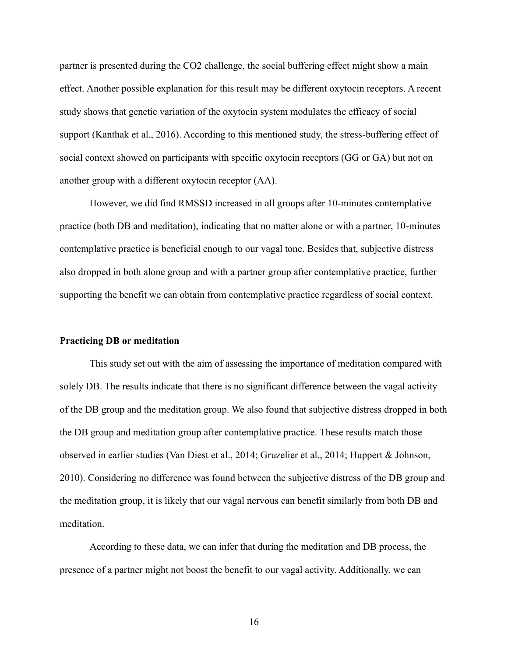partner is presented during the CO2 challenge, the social buffering effect might show a main effect. Another possible explanation for this result may be different oxytocin receptors. A recent study shows that genetic variation of the oxytocin system modulates the efficacy of social support (Kanthak et al., 2016). According to this mentioned study, the stress-buffering effect of social context showed on participants with specific oxytocin receptors (GG or GA) but not on another group with a different oxytocin receptor (AA).

However, we did find RMSSD increased in all groups after 10-minutes contemplative practice (both DB and meditation), indicating that no matter alone or with a partner, 10-minutes contemplative practice is beneficial enough to our vagal tone. Besides that, subjective distress also dropped in both alone group and with a partner group after contemplative practice, further supporting the benefit we can obtain from contemplative practice regardless of social context.

#### <span id="page-21-0"></span>**Practicing DB or meditation**

This study set out with the aim of assessing the importance of meditation compared with solely DB. The results indicate that there is no significant difference between the vagal activity of the DB group and the meditation group. We also found that subjective distress dropped in both the DB group and meditation group after contemplative practice. These results match those observed in earlier studies (Van Diest et al., 2014; Gruzelier et al., 2014; Huppert & Johnson, 2010). Considering no difference was found between the subjective distress of the DB group and the meditation group, it is likely that our vagal nervous can benefit similarly from both DB and meditation.

According to these data, we can infer that during the meditation and DB process, the presence of a partner might not boost the benefit to our vagal activity. Additionally, we can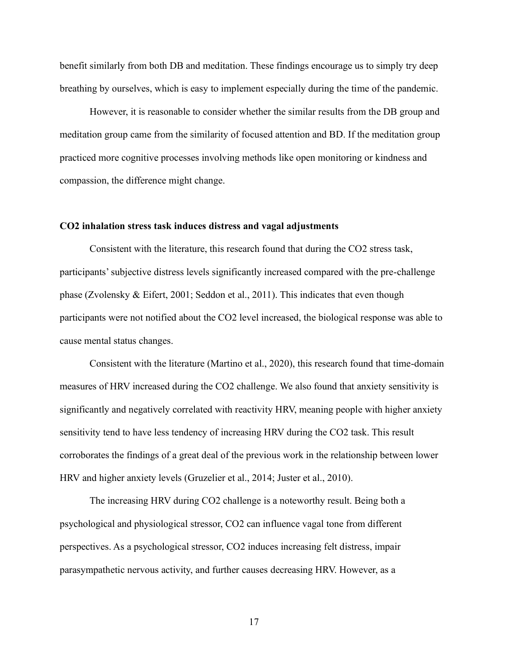benefit similarly from both DB and meditation. These findings encourage us to simply try deep breathing by ourselves, which is easy to implement especially during the time of the pandemic.

However, it is reasonable to consider whether the similar results from the DB group and meditation group came from the similarity of focused attention and BD. If the meditation group practiced more cognitive processes involving methods like open monitoring or kindness and compassion, the difference might change.

### <span id="page-22-0"></span>**CO2 inhalation stress task induces distress and vagal adjustments**

Consistent with the literature, this research found that during the CO2 stress task, participants' subjective distress levels significantly increased compared with the pre-challenge phase (Zvolensky & Eifert, 2001; Seddon et al., 2011). This indicates that even though participants were not notified about the CO2 level increased, the biological response was able to cause mental status changes.

Consistent with the literature (Martino et al., 2020), this research found that time-domain measures of HRV increased during the CO2 challenge. We also found that anxiety sensitivity is significantly and negatively correlated with reactivity HRV, meaning people with higher anxiety sensitivity tend to have less tendency of increasing HRV during the CO2 task. This result corroborates the findings of a great deal of the previous work in the relationship between lower HRV and higher anxiety levels (Gruzelier et al., 2014; Juster et al., 2010).

The increasing HRV during CO2 challenge is a noteworthy result. Being both a psychological and physiological stressor, CO2 can influence vagal tone from different perspectives. As a psychological stressor, CO2 induces increasing felt distress, impair parasympathetic nervous activity, and further causes decreasing HRV. However, as a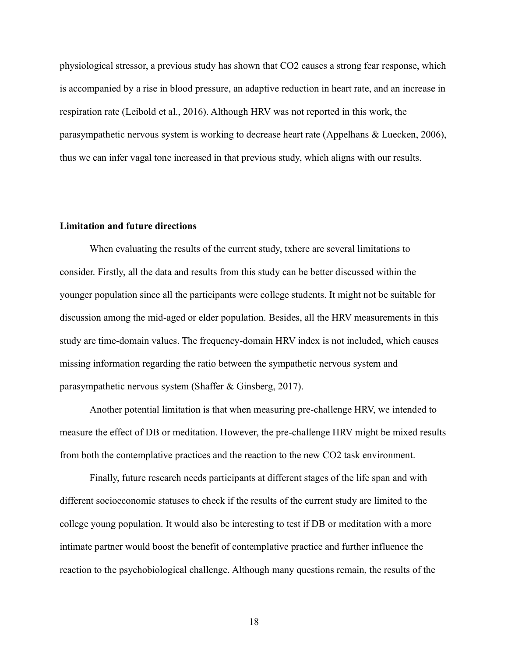physiological stressor, a previous study has shown that CO2 causes a strong fear response, which is accompanied by a rise in blood pressure, an adaptive reduction in heart rate, and an increase in respiration rate (Leibold et al., 2016). Although HRV was not reported in this work, the parasympathetic nervous system is working to decrease heart rate (Appelhans & Luecken, 2006), thus we can infer vagal tone increased in that previous study, which aligns with our results.

### <span id="page-23-0"></span>**Limitation and future directions**

When evaluating the results of the current study, txhere are several limitations to consider. Firstly, all the data and results from this study can be better discussed within the younger population since all the participants were college students. It might not be suitable for discussion among the mid-aged or elder population. Besides, all the HRV measurements in this study are time-domain values. The frequency-domain HRV index is not included, which causes missing information regarding the ratio between the sympathetic nervous system and parasympathetic nervous system (Shaffer & Ginsberg, 2017).

Another potential limitation is that when measuring pre-challenge HRV, we intended to measure the effect of DB or meditation. However, the pre-challenge HRV might be mixed results from both the contemplative practices and the reaction to the new CO2 task environment.

Finally, future research needs participants at different stages of the life span and with different socioeconomic statuses to check if the results of the current study are limited to the college young population. It would also be interesting to test if DB or meditation with a more intimate partner would boost the benefit of contemplative practice and further influence the reaction to the psychobiological challenge. Although many questions remain, the results of the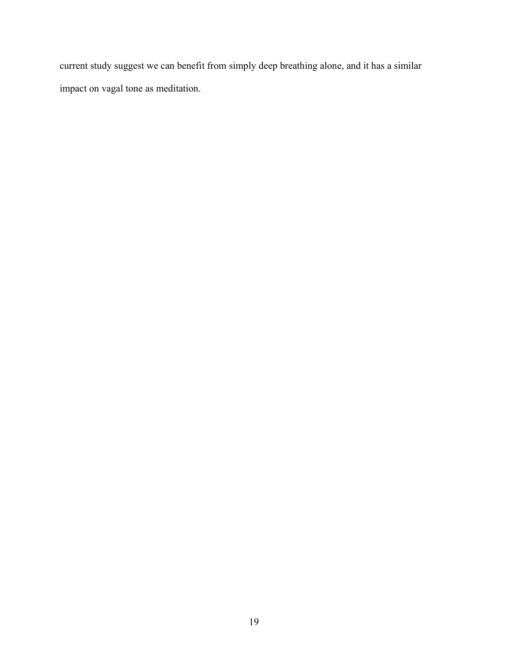current study suggest we can benefit from simply deep breathing alone, and it has a similar impact on vagal tone as meditation.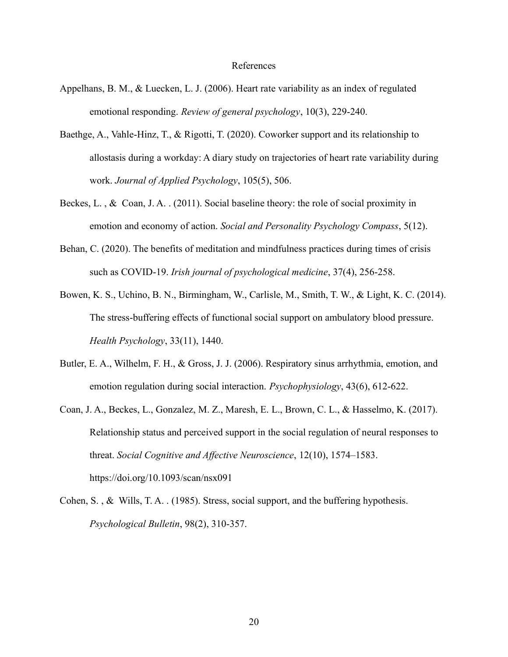#### References

- Appelhans, B. M., & Luecken, L. J. (2006). Heart rate variability as an index of regulated emotional responding. *Review of general psychology*, 10(3), 229-240.
- Baethge, A., Vahle-Hinz, T., & Rigotti, T. (2020). Coworker support and its relationship to allostasis during a workday: A diary study on trajectories of heart rate variability during work. *Journal of Applied Psychology*, 105(5), 506.
- Beckes, L. , & Coan, J. A. . (2011). Social baseline theory: the role of social proximity in emotion and economy of action. *Social and Personality Psychology Compass*, 5(12).
- Behan, C. (2020). The benefits of meditation and mindfulness practices during times of crisis such as COVID-19. *Irish journal of psychological medicine*, 37(4), 256-258.
- Bowen, K. S., Uchino, B. N., Birmingham, W., Carlisle, M., Smith, T. W., & Light, K. C. (2014). The stress-buffering effects of functional social support on ambulatory blood pressure. *Health Psychology*, 33(11), 1440.
- Butler, E. A., Wilhelm, F. H., & Gross, J. J. (2006). Respiratory sinus arrhythmia, emotion, and emotion regulation during social interaction. *Psychophysiology*, 43(6), 612-622.
- Coan, J. A., Beckes, L., Gonzalez, M. Z., Maresh, E. L., Brown, C. L., & Hasselmo, K. (2017). Relationship status and perceived support in the social regulation of neural responses to threat. *Social Cognitive and Affective Neuroscience*, 12(10), 1574–1583. https://doi.org/10.1093/scan/nsx091
- Cohen, S. , & Wills, T. A. . (1985). Stress, social support, and the buffering hypothesis. *Psychological Bulletin*, 98(2), 310-357.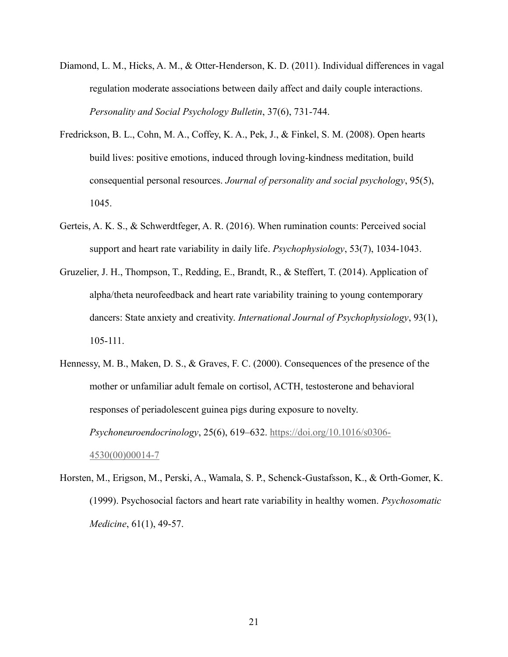- Diamond, L. M., Hicks, A. M., & Otter-Henderson, K. D. (2011). Individual differences in vagal regulation moderate associations between daily affect and daily couple interactions. *Personality and Social Psychology Bulletin*, 37(6), 731-744.
- Fredrickson, B. L., Cohn, M. A., Coffey, K. A., Pek, J., & Finkel, S. M. (2008). Open hearts build lives: positive emotions, induced through loving-kindness meditation, build consequential personal resources. *Journal of personality and social psychology*, 95(5), 1045.
- Gerteis, A. K. S., & Schwerdtfeger, A. R. (2016). When rumination counts: Perceived social support and heart rate variability in daily life. *Psychophysiology*, 53(7), 1034-1043.
- Gruzelier, J. H., Thompson, T., Redding, E., Brandt, R., & Steffert, T. (2014). Application of alpha/theta neurofeedback and heart rate variability training to young contemporary dancers: State anxiety and creativity. *International Journal of Psychophysiology*, 93(1), 105-111.
- Hennessy, M. B., Maken, D. S., & Graves, F. C. (2000). Consequences of the presence of the mother or unfamiliar adult female on cortisol, ACTH, testosterone and behavioral responses of periadolescent guinea pigs during exposure to novelty. *Psychoneuroendocrinology*, 25(6), 619–632. [https://doi.org/10.1016/s0306-](https://doi.org/10.1016/s0306-4530(00)00014-7) [4530\(00\)00014-7](https://doi.org/10.1016/s0306-4530(00)00014-7)
- Horsten, M., Erigson, M., Perski, A., Wamala, S. P., Schenck-Gustafsson, K., & Orth-Gomer, K. (1999). Psychosocial factors and heart rate variability in healthy women. *Psychosomatic Medicine*, 61(1), 49-57.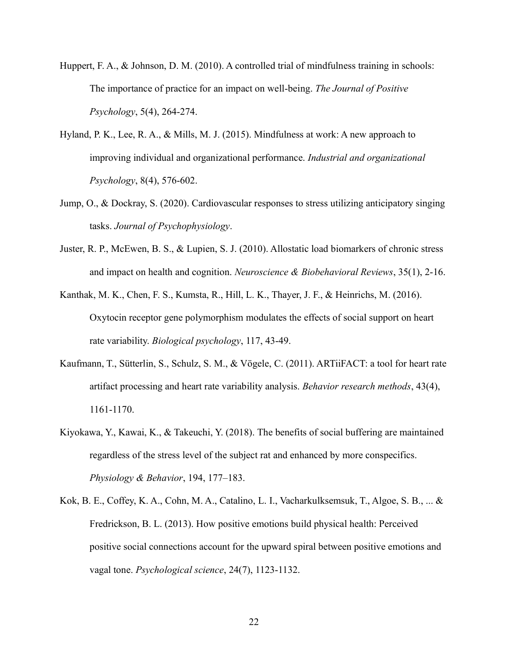- Huppert, F. A., & Johnson, D. M. (2010). A controlled trial of mindfulness training in schools: The importance of practice for an impact on well-being. *The Journal of Positive Psychology*, 5(4), 264-274.
- Hyland, P. K., Lee, R. A., & Mills, M. J. (2015). Mindfulness at work: A new approach to improving individual and organizational performance. *Industrial and organizational Psychology*, 8(4), 576-602.
- Jump, O., & Dockray, S. (2020). Cardiovascular responses to stress utilizing anticipatory singing tasks. *Journal of Psychophysiology*.
- Juster, R. P., McEwen, B. S., & Lupien, S. J. (2010). Allostatic load biomarkers of chronic stress and impact on health and cognition. *Neuroscience & Biobehavioral Reviews*, 35(1), 2-16.
- Kanthak, M. K., Chen, F. S., Kumsta, R., Hill, L. K., Thayer, J. F., & Heinrichs, M. (2016). Oxytocin receptor gene polymorphism modulates the effects of social support on heart rate variability. *Biological psychology*, 117, 43-49.
- Kaufmann, T., Sütterlin, S., Schulz, S. M., & Vögele, C. (2011). ARTiiFACT: a tool for heart rate artifact processing and heart rate variability analysis. *Behavior research methods*, 43(4), 1161-1170.
- Kiyokawa, Y., Kawai, K., & Takeuchi, Y. (2018). The benefits of social buffering are maintained regardless of the stress level of the subject rat and enhanced by more conspecifics. *Physiology & Behavior*, 194, 177–183.
- Kok, B. E., Coffey, K. A., Cohn, M. A., Catalino, L. I., Vacharkulksemsuk, T., Algoe, S. B., ... & Fredrickson, B. L. (2013). How positive emotions build physical health: Perceived positive social connections account for the upward spiral between positive emotions and vagal tone. *Psychological science*, 24(7), 1123-1132.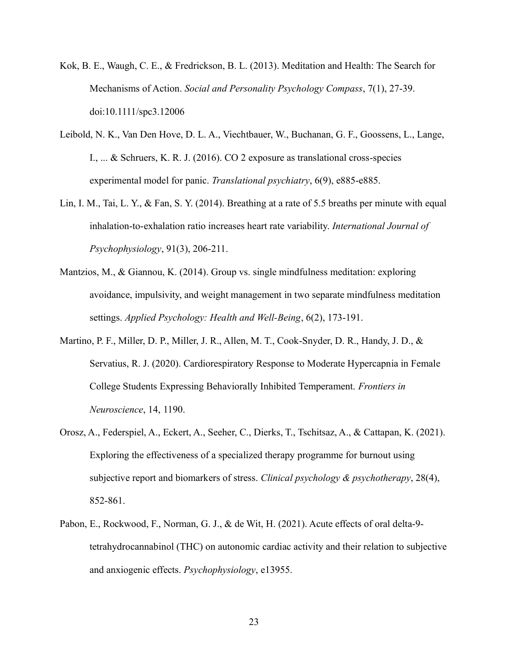- Kok, B. E., Waugh, C. E., & Fredrickson, B. L. (2013). Meditation and Health: The Search for Mechanisms of Action. *Social and Personality Psychology Compass*, 7(1), 27-39. doi:10.1111/spc3.12006
- Leibold, N. K., Van Den Hove, D. L. A., Viechtbauer, W., Buchanan, G. F., Goossens, L., Lange, I., ... & Schruers, K. R. J. (2016). CO 2 exposure as translational cross-species experimental model for panic. *Translational psychiatry*, 6(9), e885-e885.
- Lin, I. M., Tai, L. Y., & Fan, S. Y. (2014). Breathing at a rate of 5.5 breaths per minute with equal inhalation-to-exhalation ratio increases heart rate variability. *International Journal of Psychophysiology*, 91(3), 206-211.
- Mantzios, M., & Giannou, K. (2014). Group vs. single mindfulness meditation: exploring avoidance, impulsivity, and weight management in two separate mindfulness meditation settings. *Applied Psychology: Health and Well‐Being*, 6(2), 173-191.
- Martino, P. F., Miller, D. P., Miller, J. R., Allen, M. T., Cook-Snyder, D. R., Handy, J. D., & Servatius, R. J. (2020). Cardiorespiratory Response to Moderate Hypercapnia in Female College Students Expressing Behaviorally Inhibited Temperament. *Frontiers in Neuroscience*, 14, 1190.
- Orosz, A., Federspiel, A., Eckert, A., Seeher, C., Dierks, T., Tschitsaz, A., & Cattapan, K. (2021). Exploring the effectiveness of a specialized therapy programme for burnout using subjective report and biomarkers of stress. *Clinical psychology & psychotherapy*, 28(4), 852-861.
- Pabon, E., Rockwood, F., Norman, G. J., & de Wit, H. (2021). Acute effects of oral delta‐9‐ tetrahydrocannabinol (THC) on autonomic cardiac activity and their relation to subjective and anxiogenic effects. *Psychophysiology*, e13955.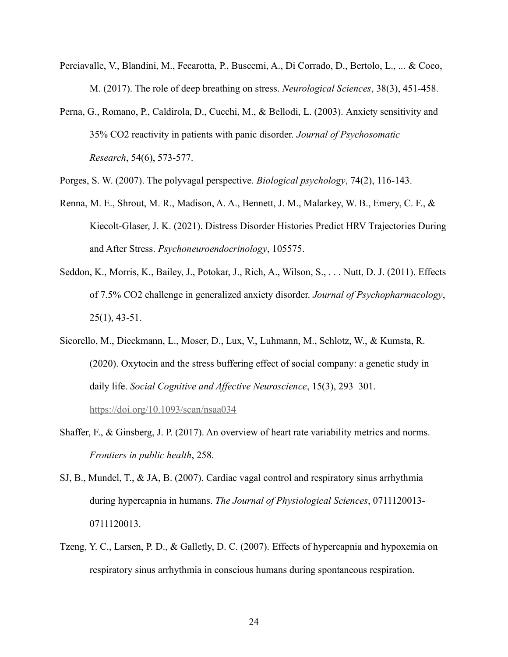- Perciavalle, V., Blandini, M., Fecarotta, P., Buscemi, A., Di Corrado, D., Bertolo, L., ... & Coco, M. (2017). The role of deep breathing on stress. *Neurological Sciences*, 38(3), 451-458.
- Perna, G., Romano, P., Caldirola, D., Cucchi, M., & Bellodi, L. (2003). Anxiety sensitivity and 35% CO2 reactivity in patients with panic disorder. *Journal of Psychosomatic Research*, 54(6), 573-577.

Porges, S. W. (2007). The polyvagal perspective. *Biological psychology*, 74(2), 116-143.

- Renna, M. E., Shrout, M. R., Madison, A. A., Bennett, J. M., Malarkey, W. B., Emery, C. F., & Kiecolt-Glaser, J. K. (2021). Distress Disorder Histories Predict HRV Trajectories During and After Stress. *Psychoneuroendocrinology*, 105575.
- Seddon, K., Morris, K., Bailey, J., Potokar, J., Rich, A., Wilson, S., . . . Nutt, D. J. (2011). Effects of 7.5% CO2 challenge in generalized anxiety disorder. *Journal of Psychopharmacology*, 25(1), 43-51.
- Sicorello, M., Dieckmann, L., Moser, D., Lux, V., Luhmann, M., Schlotz, W., & Kumsta, R. (2020). Oxytocin and the stress buffering effect of social company: a genetic study in daily life. *Social Cognitive and Affective Neuroscience*, 15(3), 293–301.

<https://doi.org/10.1093/scan/nsaa034>

- Shaffer, F., & Ginsberg, J. P. (2017). An overview of heart rate variability metrics and norms. *Frontiers in public health*, 258.
- SJ, B., Mundel, T., & JA, B. (2007). Cardiac vagal control and respiratory sinus arrhythmia during hypercapnia in humans. *The Journal of Physiological Sciences*, 0711120013- 0711120013.
- Tzeng, Y. C., Larsen, P. D., & Galletly, D. C. (2007). Effects of hypercapnia and hypoxemia on respiratory sinus arrhythmia in conscious humans during spontaneous respiration.